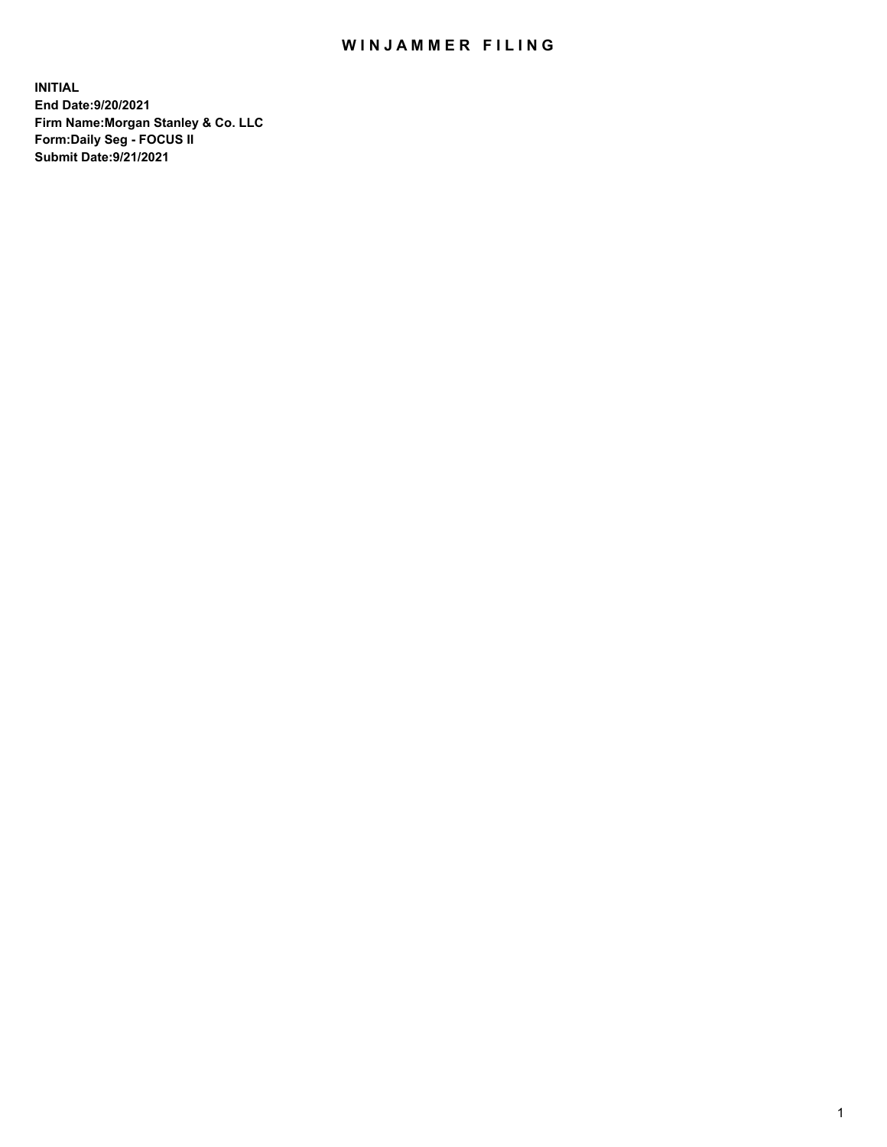## WIN JAMMER FILING

**INITIAL End Date:9/20/2021 Firm Name:Morgan Stanley & Co. LLC Form:Daily Seg - FOCUS II Submit Date:9/21/2021**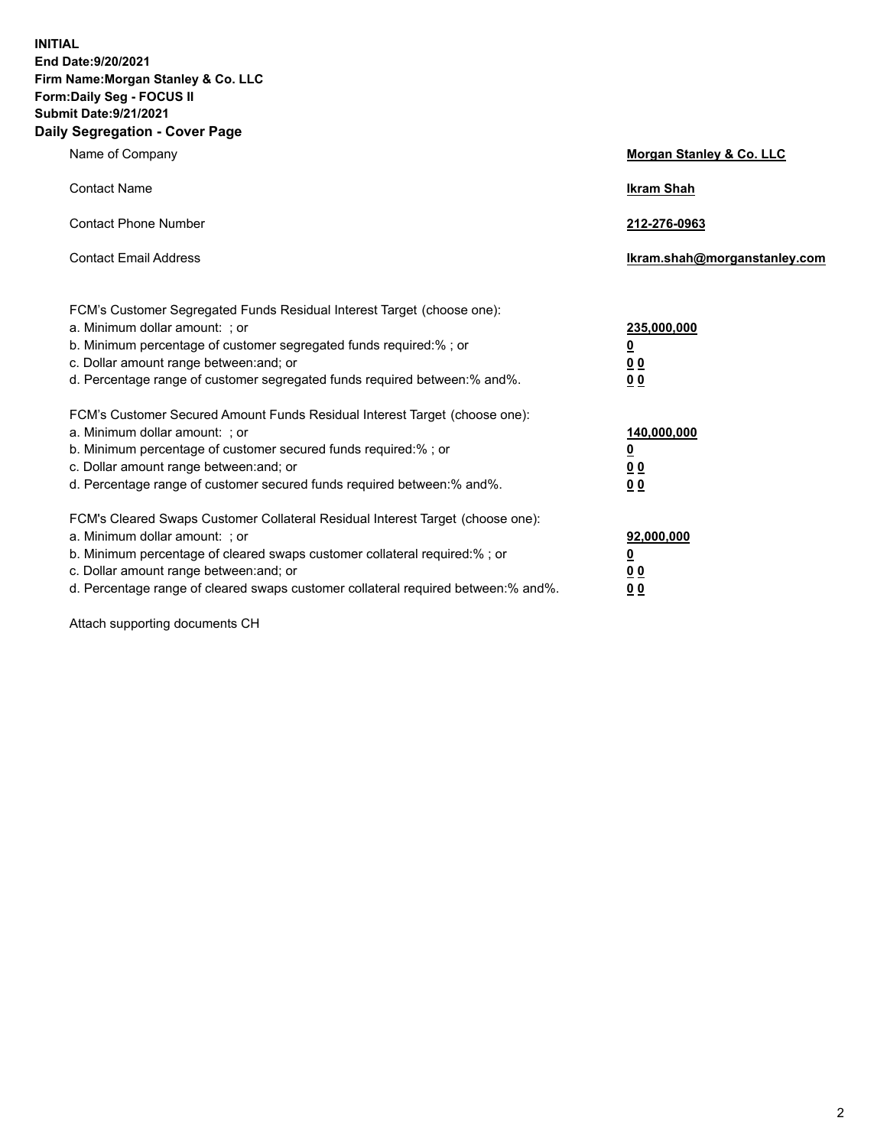**INITIAL End Date:9/20/2021 Firm Name:Morgan Stanley & Co. LLC Form:Daily Seg - FOCUS II Submit Date:9/21/2021 Daily Segregation - Cover Page**

| Name of Company                                                                                                                                                                                                                                                                                                                | <b>Morgan Stanley &amp; Co. LLC</b>                    |
|--------------------------------------------------------------------------------------------------------------------------------------------------------------------------------------------------------------------------------------------------------------------------------------------------------------------------------|--------------------------------------------------------|
| <b>Contact Name</b>                                                                                                                                                                                                                                                                                                            | <b>Ikram Shah</b>                                      |
| <b>Contact Phone Number</b>                                                                                                                                                                                                                                                                                                    | 212-276-0963                                           |
| <b>Contact Email Address</b>                                                                                                                                                                                                                                                                                                   | Ikram.shah@morganstanley.com                           |
| FCM's Customer Segregated Funds Residual Interest Target (choose one):<br>a. Minimum dollar amount: ; or<br>b. Minimum percentage of customer segregated funds required:% ; or<br>c. Dollar amount range between: and; or<br>d. Percentage range of customer segregated funds required between:% and%.                         | 235,000,000<br><u>0</u><br>0 Q<br>0 Q                  |
| FCM's Customer Secured Amount Funds Residual Interest Target (choose one):<br>a. Minimum dollar amount: ; or<br>b. Minimum percentage of customer secured funds required:% ; or<br>c. Dollar amount range between: and; or<br>d. Percentage range of customer secured funds required between: % and %.                         | 140,000,000<br><u>0</u><br><u>00</u><br>0 <sub>0</sub> |
| FCM's Cleared Swaps Customer Collateral Residual Interest Target (choose one):<br>a. Minimum dollar amount: ; or<br>b. Minimum percentage of cleared swaps customer collateral required:% ; or<br>c. Dollar amount range between: and; or<br>d. Percentage range of cleared swaps customer collateral required between:% and%. | 92,000,000<br><u>0</u><br>0 Q<br>00                    |

Attach supporting documents CH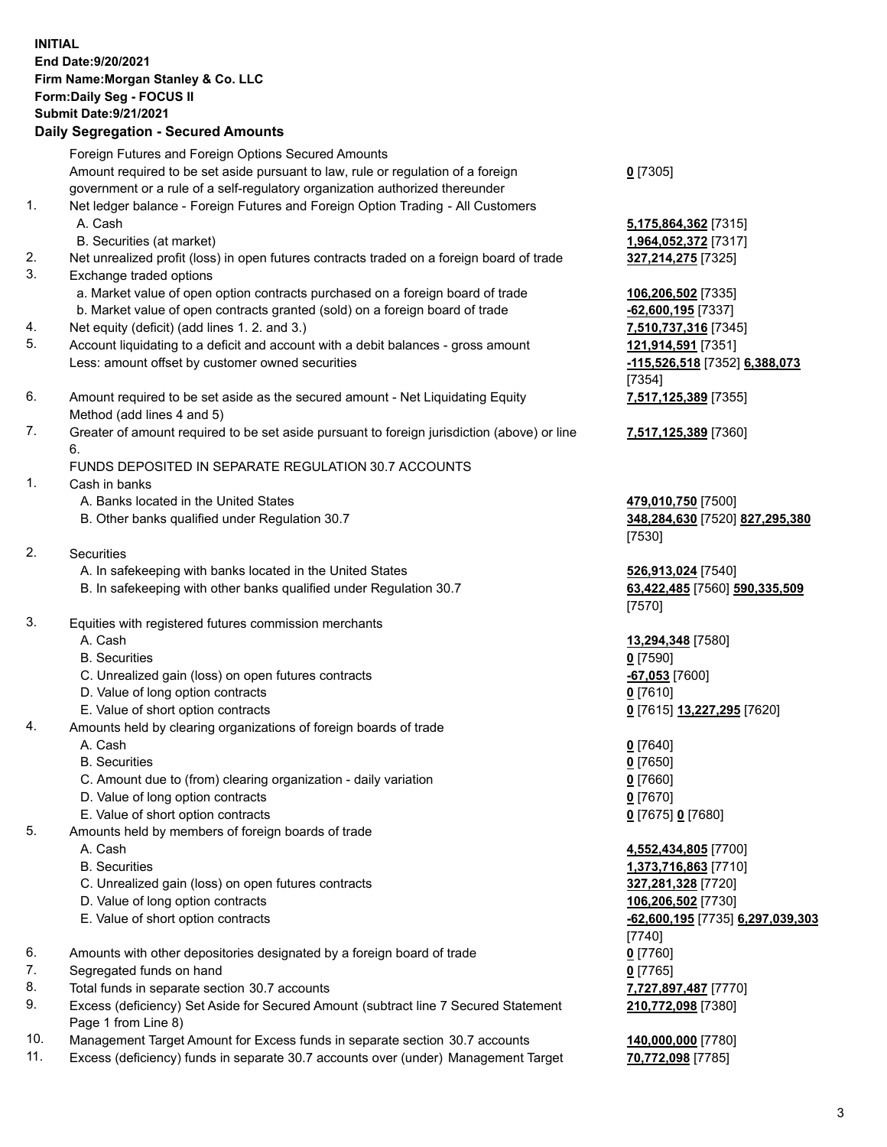## **INITIAL End Date:9/20/2021 Firm Name:Morgan Stanley & Co. LLC Form:Daily Seg - FOCUS II Submit Date:9/21/2021**

**Daily Segregation - Secured Amounts** Foreign Futures and Foreign Options Secured Amounts Amount required to be set aside pursuant to law, rule or regulation of a foreign government or a rule of a self-regulatory organization authorized thereunder 1. Net ledger balance - Foreign Futures and Foreign Option Trading - All Customers A. Cash **5,175,864,362** [7315] B. Securities (at market) **1,964,052,372** [7317] 2. Net unrealized profit (loss) in open futures contracts traded on a foreign board of trade **327,214,275** [7325] 3. Exchange traded options a. Market value of open option contracts purchased on a foreign board of trade **106,206,502** [7335] b. Market value of open contracts granted (sold) on a foreign board of trade **-62,600,195** [7337] 4. Net equity (deficit) (add lines 1. 2. and 3.) **7,510,737,316** [7345] 5. Account liquidating to a deficit and account with a debit balances - gross amount **121,914,591** [7351] Less: amount offset by customer owned securities **-115,526,518** [7352] **6,388,073** 6. Amount required to be set aside as the secured amount - Net Liquidating Equity Method (add lines 4 and 5) 7. Greater of amount required to be set aside pursuant to foreign jurisdiction (above) or line 6. FUNDS DEPOSITED IN SEPARATE REGULATION 30.7 ACCOUNTS 1. Cash in banks A. Banks located in the United States **479,010,750** [7500] B. Other banks qualified under Regulation 30.7 **348,284,630** [7520] **827,295,380** 2. Securities A. In safekeeping with banks located in the United States **526,913,024** [7540] B. In safekeeping with other banks qualified under Regulation 30.7 **63,422,485** [7560] **590,335,509** 3. Equities with registered futures commission merchants A. Cash **13,294,348** [7580] B. Securities **0** [7590] C. Unrealized gain (loss) on open futures contracts **-67,053** [7600] D. Value of long option contracts **0** [7610] E. Value of short option contracts **0** [7615] **13,227,295** [7620] 4. Amounts held by clearing organizations of foreign boards of trade A. Cash **0** [7640] B. Securities **0** [7650] C. Amount due to (from) clearing organization - daily variation **0** [7660] D. Value of long option contracts **0** [7670] E. Value of short option contracts **0** [7675] **0** [7680] 5. Amounts held by members of foreign boards of trade A. Cash **4,552,434,805** [7700] B. Securities **1,373,716,863** [7710] C. Unrealized gain (loss) on open futures contracts **327,281,328** [7720]

- D. Value of long option contracts **106,206,502** [7730]
- 
- 6. Amounts with other depositories designated by a foreign board of trade **0** [7760]
- 7. Segregated funds on hand **0** [7765]
- 8. Total funds in separate section 30.7 accounts **7,727,897,487** [7770]
- 9. Excess (deficiency) Set Aside for Secured Amount (subtract line 7 Secured Statement Page 1 from Line 8)
- 10. Management Target Amount for Excess funds in separate section 30.7 accounts **140,000,000** [7780]
- 11. Excess (deficiency) funds in separate 30.7 accounts over (under) Management Target **70,772,098** [7785]

**0** [7305]

[7354] **7,517,125,389** [7355]

**7,517,125,389** [7360]

[7530]

[7570]

 E. Value of short option contracts **-62,600,195** [7735] **6,297,039,303** [7740] **210,772,098** [7380]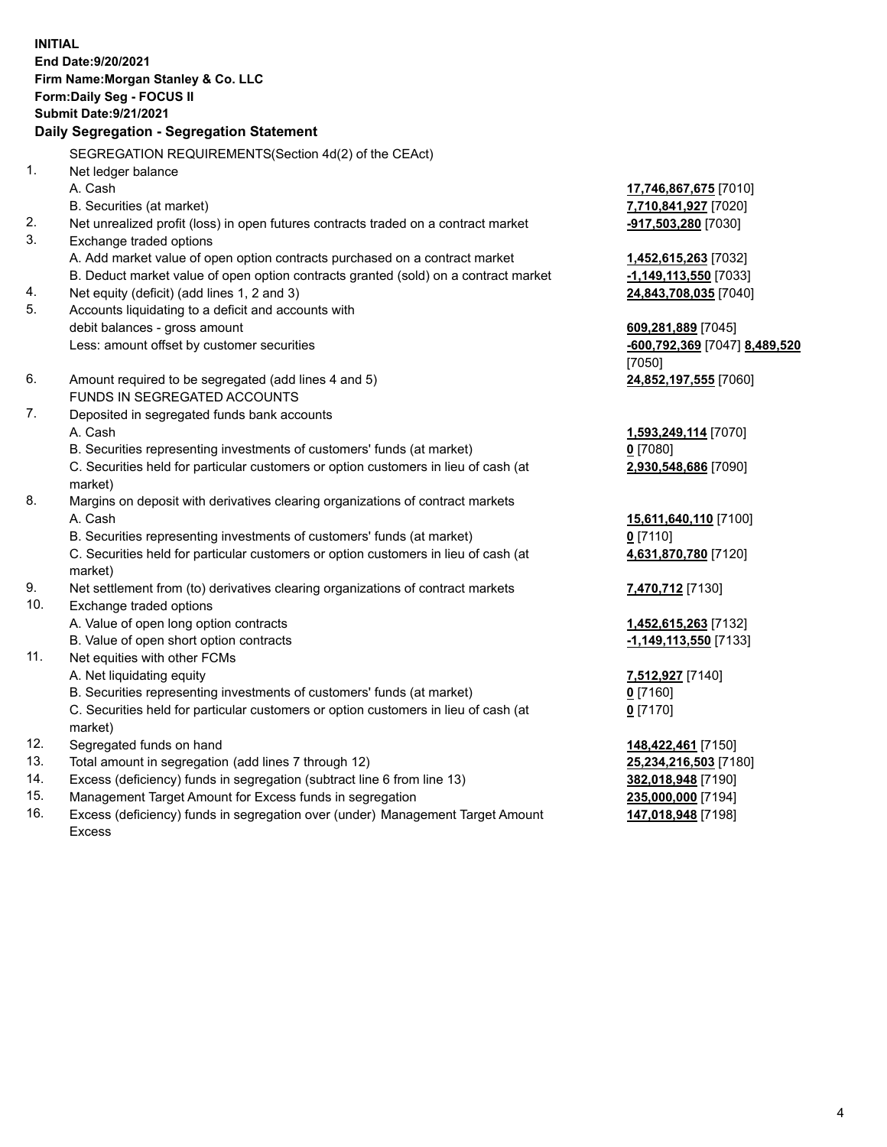**INITIAL End Date:9/20/2021 Firm Name:Morgan Stanley & Co. LLC Form:Daily Seg - FOCUS II Submit Date:9/21/2021 Daily Segregation - Segregation Statement** SEGREGATION REQUIREMENTS(Section 4d(2) of the CEAct) 1. Net ledger balance A. Cash **17,746,867,675** [7010] B. Securities (at market) **7,710,841,927** [7020] 2. Net unrealized profit (loss) in open futures contracts traded on a contract market **-917,503,280** [7030] 3. Exchange traded options A. Add market value of open option contracts purchased on a contract market **1,452,615,263** [7032] B. Deduct market value of open option contracts granted (sold) on a contract market **-1,149,113,550** [7033] 4. Net equity (deficit) (add lines 1, 2 and 3) **24,843,708,035** [7040] 5. Accounts liquidating to a deficit and accounts with debit balances - gross amount **609,281,889** [7045] Less: amount offset by customer securities **-600,792,369** [7047] **8,489,520** [7050] 6. Amount required to be segregated (add lines 4 and 5) **24,852,197,555** [7060] FUNDS IN SEGREGATED ACCOUNTS 7. Deposited in segregated funds bank accounts A. Cash **1,593,249,114** [7070] B. Securities representing investments of customers' funds (at market) **0** [7080] C. Securities held for particular customers or option customers in lieu of cash (at market) **2,930,548,686** [7090] 8. Margins on deposit with derivatives clearing organizations of contract markets A. Cash **15,611,640,110** [7100] B. Securities representing investments of customers' funds (at market) **0** [7110] C. Securities held for particular customers or option customers in lieu of cash (at market) **4,631,870,780** [7120] 9. Net settlement from (to) derivatives clearing organizations of contract markets **7,470,712** [7130] 10. Exchange traded options A. Value of open long option contracts **1,452,615,263** [7132] B. Value of open short option contracts **-1,149,113,550** [7133] 11. Net equities with other FCMs A. Net liquidating equity **7,512,927** [7140] B. Securities representing investments of customers' funds (at market) **0** [7160] C. Securities held for particular customers or option customers in lieu of cash (at market) **0** [7170] 12. Segregated funds on hand **148,422,461** [7150] 13. Total amount in segregation (add lines 7 through 12) **25,234,216,503** [7180] 14. Excess (deficiency) funds in segregation (subtract line 6 from line 13) **382,018,948** [7190]

- 15. Management Target Amount for Excess funds in segregation **235,000,000** [7194]
- 16. Excess (deficiency) funds in segregation over (under) Management Target Amount Excess

**147,018,948** [7198]